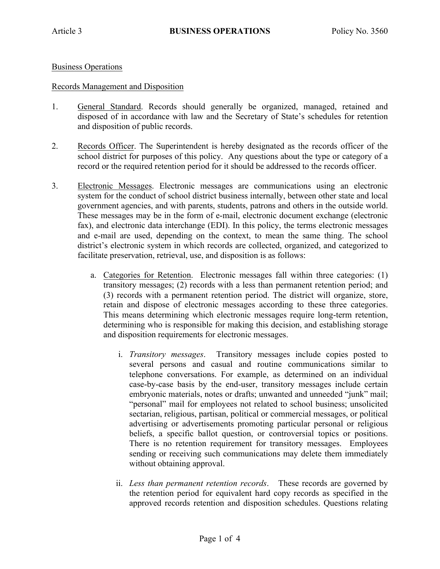## Business Operations

## Records Management and Disposition

- 1. General Standard. Records should generally be organized, managed, retained and disposed of in accordance with law and the Secretary of State's schedules for retention and disposition of public records.
- 2. Records Officer. The Superintendent is hereby designated as the records officer of the school district for purposes of this policy. Any questions about the type or category of a record or the required retention period for it should be addressed to the records officer.
- 3. Electronic Messages. Electronic messages are communications using an electronic system for the conduct of school district business internally, between other state and local government agencies, and with parents, students, patrons and others in the outside world. These messages may be in the form of e-mail, electronic document exchange (electronic fax), and electronic data interchange (EDI). In this policy, the terms electronic messages and e-mail are used, depending on the context, to mean the same thing. The school district's electronic system in which records are collected, organized, and categorized to facilitate preservation, retrieval, use, and disposition is as follows:
	- a. Categories for Retention. Electronic messages fall within three categories: (1) transitory messages; (2) records with a less than permanent retention period; and (3) records with a permanent retention period. The district will organize, store, retain and dispose of electronic messages according to these three categories. This means determining which electronic messages require long-term retention, determining who is responsible for making this decision, and establishing storage and disposition requirements for electronic messages.
		- i. *Transitory messages*. Transitory messages include copies posted to several persons and casual and routine communications similar to telephone conversations. For example, as determined on an individual case-by-case basis by the end-user, transitory messages include certain embryonic materials, notes or drafts; unwanted and unneeded "junk" mail; "personal" mail for employees not related to school business; unsolicited sectarian, religious, partisan, political or commercial messages, or political advertising or advertisements promoting particular personal or religious beliefs, a specific ballot question, or controversial topics or positions. There is no retention requirement for transitory messages. Employees sending or receiving such communications may delete them immediately without obtaining approval.
		- ii. *Less than permanent retention records*. These records are governed by the retention period for equivalent hard copy records as specified in the approved records retention and disposition schedules. Questions relating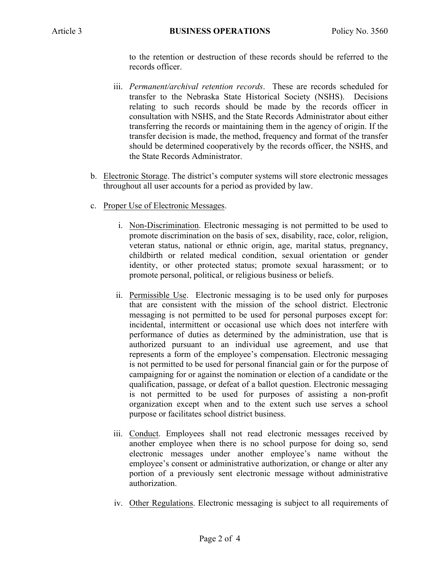to the retention or destruction of these records should be referred to the records officer.

- iii. *Permanent/archival retention records*. These are records scheduled for transfer to the Nebraska State Historical Society (NSHS). Decisions relating to such records should be made by the records officer in consultation with NSHS, and the State Records Administrator about either transferring the records or maintaining them in the agency of origin. If the transfer decision is made, the method, frequency and format of the transfer should be determined cooperatively by the records officer, the NSHS, and the State Records Administrator.
- b. Electronic Storage. The district's computer systems will store electronic messages throughout all user accounts for a period as provided by law.
- c. Proper Use of Electronic Messages.
	- i. Non-Discrimination. Electronic messaging is not permitted to be used to promote discrimination on the basis of sex, disability, race, color, religion, veteran status, national or ethnic origin, age, marital status, pregnancy, childbirth or related medical condition, sexual orientation or gender identity, or other protected status; promote sexual harassment; or to promote personal, political, or religious business or beliefs.
	- ii. Permissible Use. Electronic messaging is to be used only for purposes that are consistent with the mission of the school district. Electronic messaging is not permitted to be used for personal purposes except for: incidental, intermittent or occasional use which does not interfere with performance of duties as determined by the administration, use that is authorized pursuant to an individual use agreement, and use that represents a form of the employee's compensation. Electronic messaging is not permitted to be used for personal financial gain or for the purpose of campaigning for or against the nomination or election of a candidate or the qualification, passage, or defeat of a ballot question. Electronic messaging is not permitted to be used for purposes of assisting a non-profit organization except when and to the extent such use serves a school purpose or facilitates school district business.
	- iii. Conduct. Employees shall not read electronic messages received by another employee when there is no school purpose for doing so, send electronic messages under another employee's name without the employee's consent or administrative authorization, or change or alter any portion of a previously sent electronic message without administrative authorization.
	- iv. Other Regulations. Electronic messaging is subject to all requirements of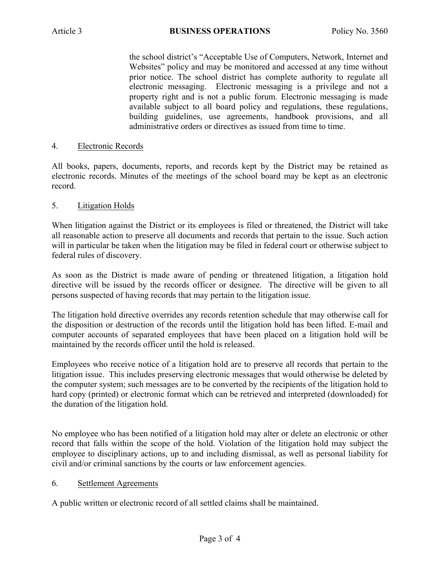the school district's "Acceptable Use of Computers, Network, Internet and Websites" policy and may be monitored and accessed at any time without prior notice. The school district has complete authority to regulate all electronic messaging. Electronic messaging is a privilege and not a property right and is not a public forum. Electronic messaging is made available subject to all board policy and regulations, these regulations, building guidelines, use agreements, handbook provisions, and all administrative orders or directives as issued from time to time.

# 4. Electronic Records

All books, papers, documents, reports, and records kept by the District may be retained as electronic records. Minutes of the meetings of the school board may be kept as an electronic record.

## 5. Litigation Holds

When litigation against the District or its employees is filed or threatened, the District will take all reasonable action to preserve all documents and records that pertain to the issue. Such action will in particular be taken when the litigation may be filed in federal court or otherwise subject to federal rules of discovery.

As soon as the District is made aware of pending or threatened litigation, a litigation hold directive will be issued by the records officer or designee. The directive will be given to all persons suspected of having records that may pertain to the litigation issue.

The litigation hold directive overrides any records retention schedule that may otherwise call for the disposition or destruction of the records until the litigation hold has been lifted. E-mail and computer accounts of separated employees that have been placed on a litigation hold will be maintained by the records officer until the hold is released.

Employees who receive notice of a litigation hold are to preserve all records that pertain to the litigation issue. This includes preserving electronic messages that would otherwise be deleted by the computer system; such messages are to be converted by the recipients of the litigation hold to hard copy (printed) or electronic format which can be retrieved and interpreted (downloaded) for the duration of the litigation hold.

No employee who has been notified of a litigation hold may alter or delete an electronic or other record that falls within the scope of the hold. Violation of the litigation hold may subject the employee to disciplinary actions, up to and including dismissal, as well as personal liability for civil and/or criminal sanctions by the courts or law enforcement agencies.

#### 6. Settlement Agreements

A public written or electronic record of all settled claims shall be maintained.